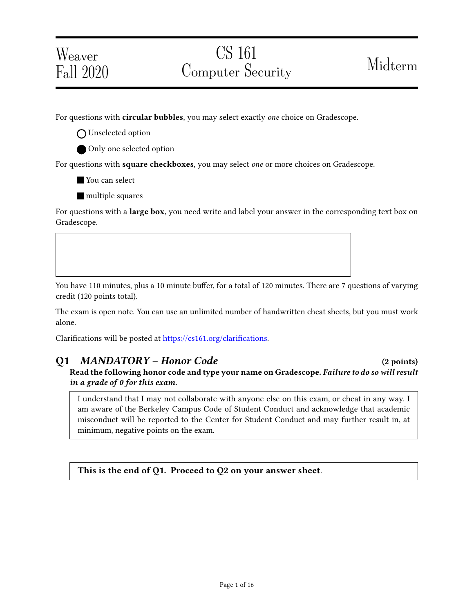# Weaver Fall 2020

For questions with **circular bubbles**, you may select exactly *one* choice on Gradescope.

O Unselected option

Only one selected option

For questions with square checkboxes, you may select one or more choices on Gradescope.

**You can select** 

**nultiple** squares

For questions with a **large box**, you need write and label your answer in the corresponding text box on Gradescope.

You have 110 minutes, plus a 10 minute buffer, for a total of 120 minutes. There are 7 questions of varying credit (120 points total).

The exam is open note. You can use an unlimited number of handwritten cheat sheets, but you must work alone.

Clarifications will be posted at https://cs161.org/clarifications.

### Q1 MANDATORY – Honor Code (2 points) Read the following honor code and type your name on Gradescope. Failure to do so will result in a grade of 0 for this exam.

I understand that I may not collaborate with anyone else on this exam, or cheat in any way. I am aware of the Berkeley Campus Code of Student Conduct and acknowledge that academic misconduct will be reported to the Center for Student Conduct and may further result in, at minimum, negative points on the exam.

This is the end of Q1. Proceed to Q2 on your answer sheet.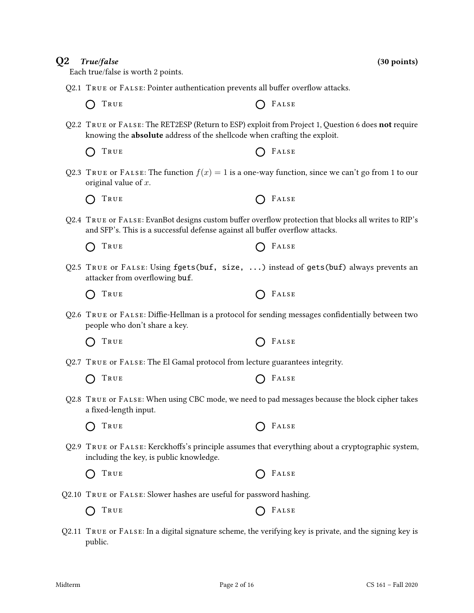## $Q2.1$  True or FALSE: Pointer authentication prevents all buffer overflow attacks.  $\bigcap$  True  $\bigcap$  False Q2.2 TRUE or FALSE: The RET2ESP (Return to ESP) exploit from Project 1, Question 6 does not require knowing the absolute address of the shellcode when crafting the exploit.  $\bigcap$  True  $\bigcap$  False Q2.3 TRUE or FALSE: The function  $f(x) = 1$  is a one-way function, since we can't go from 1 to our original value of x.  $\bigcap$  True  $\bigcap$  False Q2.4 TRUE or FALSE: EvanBot designs custom buffer overflow protection that blocks all writes to RIP's and SFP's. This is a successful defense against all buffer overflow attacks. TRUE **CONSTRUE**  $\bigcap$ Q2.5 True or False: Using fgets(buf, size, ...) instead of gets(buf) always prevents an attacker from overflowing buf.  $\bigcap$  True  $\bigcap$  False Q2.6 TRUE or FALSE: Diffie-Hellman is a protocol for sending messages confidentially between two people who don't share a key.  $\bigcap$  True  $\bigcap$  False Q2.7 True or False: The El Gamal protocol from lecture guarantees integrity.  $\bigcap$  True  $\bigcap$  False Q2.8 True or False: When using CBC mode, we need to pad messages because the block cipher takes a fixed-length input. TRUE **C** FALSE  $\bigcap$ Q2.9 TRUE or FALSE: Kerckhoffs's principle assumes that everything about a cryptographic system, including the key, is public knowledge.  $\bigcap$  True  $\bigcap$  False Q2.10 True or False: Slower hashes are useful for password hashing.  $\bigcap$  True  $\bigcap$  False Q2.11 True or False: In a digital signature scheme, the verifying key is private, and the signing key is public.

 $Q2$  True/false (30 points)

Each true/false is worth 2 points.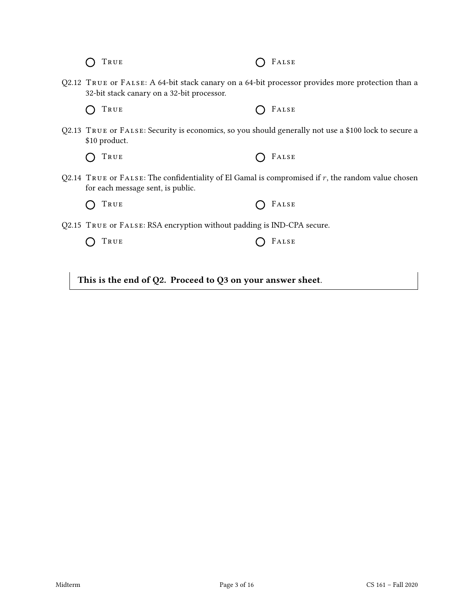|  | O TRUE | $O$ FALSE |
|--|--------|-----------|
|--|--------|-----------|

Q2.12 True or False: A 64-bit stack canary on a 64-bit processor provides more protection than a 32-bit stack canary on a 32-bit processor.

True False

Q2.13 True or False: Security is economics, so you should generally not use a \$100 lock to secure a \$10 product.

| O TRUE | $O$ FALSE |
|--------|-----------|
|--------|-----------|

- Q2.14 TRUE or FALSE: The confidentiality of El Gamal is compromised if  $r$ , the random value chosen for each message sent, is public.
	- True False
- Q2.15 True or False: RSA encryption without padding is IND-CPA secure.

 $\bigcap$  True  $\bigcap$  False

This is the end of Q2. Proceed to Q3 on your answer sheet.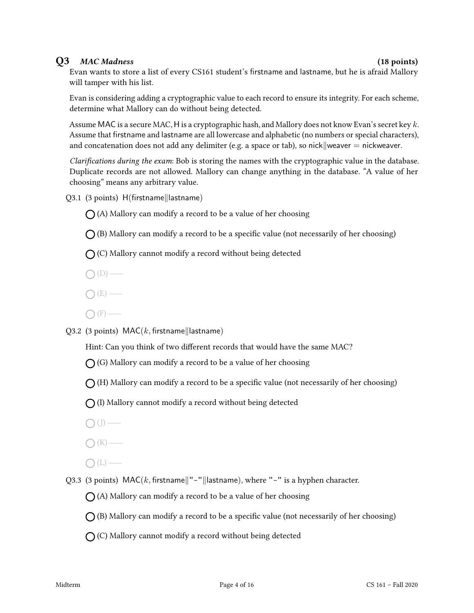### Q3 MAC Madness (18 points)

Evan wants to store a list of every CS161 student's firstname and lastname, but he is afraid Mallory will tamper with his list.

Evan is considering adding a cryptographic value to each record to ensure its integrity. For each scheme, determine what Mallory can do without being detected.

Assume MAC is a secure MAC, H is a cryptographic hash, and Mallory does not know Evan's secret key k. Assume that firstname and lastname are all lowercase and alphabetic (no numbers or special characters), and concatenation does not add any delimiter (e.g. a space or tab), so nick weaver  $=$  nickweaver.

Clarifications during the exam: Bob is storing the names with the cryptographic value in the database. Duplicate records are not allowed. Mallory can change anything in the database. "A value of her choosing" means any arbitrary value.

 $Q3.1$  (3 points)  $H(firstname||lastname)$ 

 $\bigcap$  (A) Mallory can modify a record to be a value of her choosing

 $\bigcap$  (B) Mallory can modify a record to be a specific value (not necessarily of her choosing)

 $\bigcap$  (C) Mallory cannot modify a record without being detected

 $\bigcap$  (D) —

- $O(E)$  —
- $\bigcap$  (F) —

Q3.2 (3 points)  $MAC(k, first name||lastname)$ 

Hint: Can you think of two different records that would have the same MAC?

 $\bigcap$  (G) Mallory can modify a record to be a value of her choosing

 $\bigcap$  (H) Mallory can modify a record to be a specific value (not necessarily of her choosing)

 $\bigcap$  (I) Mallory cannot modify a record without being detected

 $\bigcap$  (J) —

- $\bigcap (K)$  —
- $\bigcap(L)$  —

Q3.3 (3 points)  $\text{MAC}(k, \text{firstname}|| - || \text{lastname}),$  where "-" is a hyphen character.

 $\bigcap$  (A) Mallory can modify a record to be a value of her choosing

 $\bigcap$  (B) Mallory can modify a record to be a specific value (not necessarily of her choosing)

 $\bigcap$  (C) Mallory cannot modify a record without being detected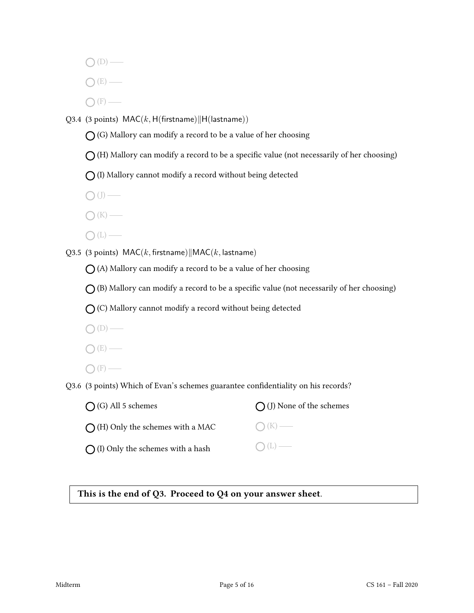$O(D)$  —

- $\bigcap (E)$
- $\bigcap$  (F) —

Q3.4 (3 points)  $MAC(k, H(firstname)||H(lastname))$ 

 $\bigcap$  (G) Mallory can modify a record to be a value of her choosing

 $\bigcirc$  (H) Mallory can modify a record to be a specific value (not necessarily of her choosing)

 $\bigcap$  (I) Mallory cannot modify a record without being detected

 $\bigcirc$  (J) —

- $\bigcap (K)$  —
- $\bigcirc$  (L) —

Q3.5 (3 points)  $MAC(k, firstname)||MAC(k, lastname))$ 

 $\bigcap$  (A) Mallory can modify a record to be a value of her choosing

 $\bigcap$  (B) Mallory can modify a record to be a specific value (not necessarily of her choosing)

 $\bigcap$  (C) Mallory cannot modify a record without being detected

- $\bigcap\left( \mathbb{D}\right) \longrightarrow% \begin{array} [c]{c}% \unitlength2.5pt \begin{picture}(120,11) \label{picc}% \put(0,0){\dashbox{0.5}} \end{picture}% \begin{picture}(120,11) \label{picc}% \put(0,0){\dashbox{0.5}} \end{picture}% \begin{picture}(120,11) \label{picc}% \put(0,0){\dashbox{0.5}} \end{picture}% \begin{picture}(120,11) \label{picc}% \put(0,0){\dashbox{0.5}} \end{picture}% \begin{picture}(120,11) \label{picc}% \put(0,0){\dashbox{0.5}} \$
- $O(E)$  —
- $\bigcap$  (F) —

Q3.6 (3 points) Which of Evan's schemes guarantee confidentiality on his records?

| $\bigcap$ (G) All 5 schemes                | $\bigcap$ (J) None of the schemes |
|--------------------------------------------|-----------------------------------|
| $\bigcap$ (H) Only the schemes with a MAC  | $\bigcap (K)$ —                   |
| $\bigcap$ (I) Only the schemes with a hash | $O(L)$ —                          |

This is the end of Q3. Proceed to Q4 on your answer sheet.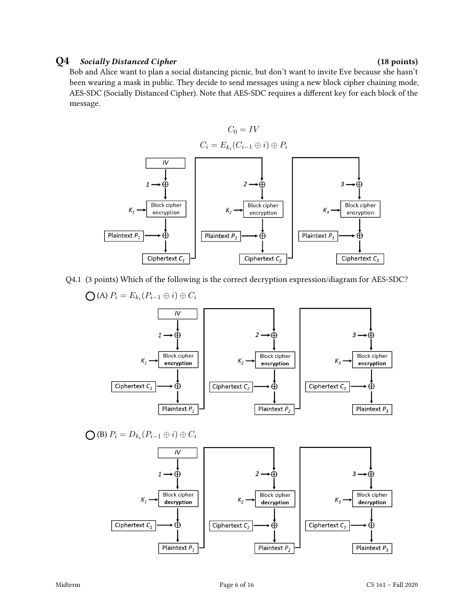### Q4 Socially Distanced Cipher (18 points)

Bob and Alice want to plan a social distancing picnic, but don't want to invite Eve because she hasn't been wearing a mask in public. They decide to send messages using a new block cipher chaining mode, AES-SDC (Socially Distanced Cipher). Note that AES-SDC requires a different key for each block of the message.



Q4.1 (3 points) Which of the following is the correct decryption expression/diagram for AES-SDC?

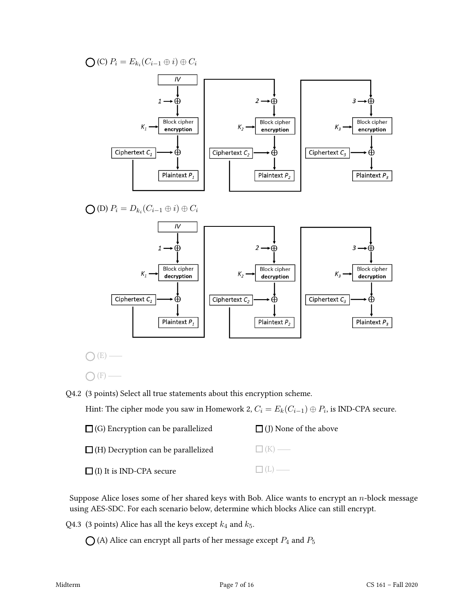(C)  $P_i = E_{k_i}(C_{i-1} \oplus i) \oplus C_i$ 



 $\bigcap(E)$  —

 $\bigcap$  (F)  $-$ 

Q4.2 (3 points) Select all true statements about this encryption scheme.

Hint: The cipher mode you saw in Homework 2,  $C_i = E_k(C_{i-1}) \oplus P_i$ , is IND-CPA secure.

| $\Box$ (G) Encryption can be parallelized | $\Box$ (J) None of the above |
|-------------------------------------------|------------------------------|
| $\Box$ (H) Decryption can be parallelized | $\Box$ (K) —                 |
| $\Box$ (I) It is IND-CPA secure           | $\Box(L)$                    |

Suppose Alice loses some of her shared keys with Bob. Alice wants to encrypt an  $n$ -block message using AES-SDC. For each scenario below, determine which blocks Alice can still encrypt.

Q4.3 (3 points) Alice has all the keys except  $k_4$  and  $k_5$ .

 $\bigcirc$  (A) Alice can encrypt all parts of her message except  $P_4$  and  $P_5$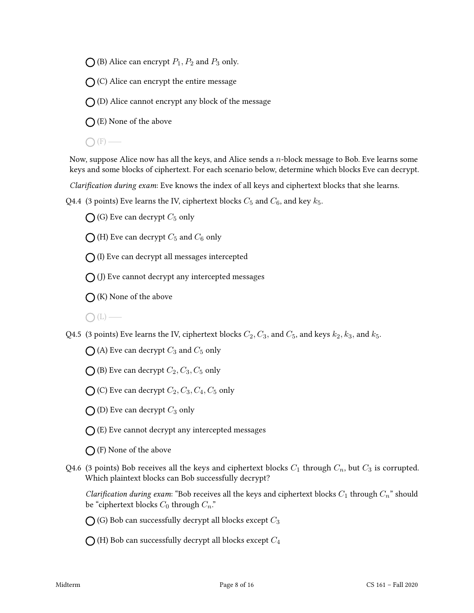$\bigcirc$  (B) Alice can encrypt  $P_1, P_2$  and  $P_3$  only.

 $\bigcap$  (C) Alice can encrypt the entire message

 $\bigcap$  (D) Alice cannot encrypt any block of the message

 $\bigcap$  (E) None of the above

 $\bigcap$  (F) —

Now, suppose Alice now has all the keys, and Alice sends a  $n$ -block message to Bob. Eve learns some keys and some blocks of ciphertext. For each scenario below, determine which blocks Eve can decrypt.

Clarification during exam: Eve knows the index of all keys and ciphertext blocks that she learns.

Q4.4 (3 points) Eve learns the IV, ciphertext blocks  $C_5$  and  $C_6$ , and key  $k_5$ .

 $\bigcap$  (G) Eve can decrypt  $C_5$  only

 $\bigcirc$  (H) Eve can decrypt  $C_5$  and  $C_6$  only

 $\bigcap$  (I) Eve can decrypt all messages intercepted

 $\bigcap$  (J) Eve cannot decrypt any intercepted messages

 $\bigcap$  (K) None of the above

 $\bigcap(L)$  —

Q4.5 (3 points) Eve learns the IV, ciphertext blocks  $C_2, C_3$ , and  $C_5$ , and keys  $k_2, k_3$ , and  $k_5$ .

 $\bigcap$  (A) Eve can decrypt  $C_3$  and  $C_5$  only

 $\bigcirc$  (B) Eve can decrypt  $C_2, C_3, C_5$  only

 $\bigcirc$  (C) Eve can decrypt  $C_2, C_3, C_4, C_5$  only

 $\bigcap$  (D) Eve can decrypt  $C_3$  only

 $\bigcap$  (E) Eve cannot decrypt any intercepted messages

 $\bigcap$  (F) None of the above

Q4.6 (3 points) Bob receives all the keys and ciphertext blocks  $C_1$  through  $C_n$ , but  $C_3$  is corrupted. Which plaintext blocks can Bob successfully decrypt?

Clarification during exam: "Bob receives all the keys and ciphertext blocks  $C_1$  through  $C_n$ " should be "ciphertext blocks  $C_0$  through  $C_n$ ."

 $\bigcap$  (G) Bob can successfully decrypt all blocks except  $C_3$ 

 $\bigcap$  (H) Bob can successfully decrypt all blocks except  $C_4$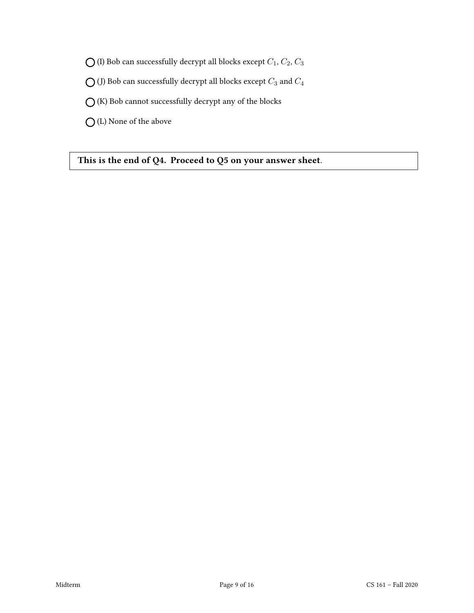$\bigcirc$  (I) Bob can successfully decrypt all blocks except  $C_1, C_2, C_3$ 

 $\bigcirc$  (J) Bob can successfully decrypt all blocks except  $C_3$  and  $C_4$ 

 $\bigcirc$  (K) Bob cannot successfully decrypt any of the blocks

(L) None of the above

This is the end of Q4. Proceed to Q5 on your answer sheet.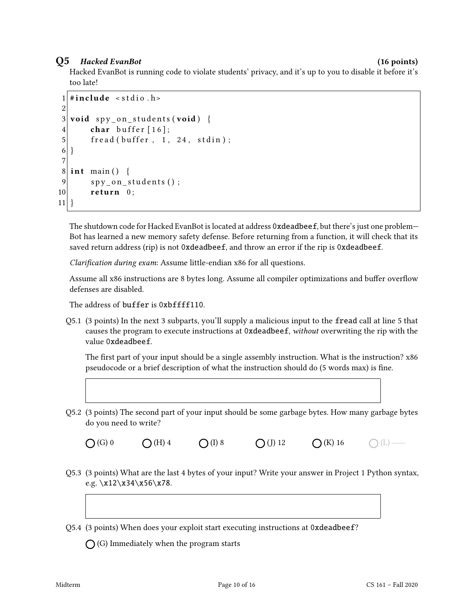### Q5 Hacked EvanBot (16 points)

Hacked EvanBot is running code to violate students' privacy, and it's up to you to disable it before it's too late!

```
1 \#include < stdio . h>
2
3 void spy_on_students (void) {
4 char buffer [16];
5 fread (buffer, 1, 24, stdin);
6 }
7
8 \mid \text{int } \text{main}() \mid9 spy_on_students();
10 return 0;
11}
```
The shutdown code for Hacked EvanBot is located at address 0xdeadbeef, but there's just one problem— Bot has learned a new memory safety defense. Before returning from a function, it will check that its saved return address (rip) is not 0xdeadbeef, and throw an error if the rip is 0xdeadbeef.

Clarification during exam: Assume little-endian x86 for all questions.

Assume all x86 instructions are 8 bytes long. Assume all compiler optimizations and buffer overflow defenses are disabled.

The address of buffer is 0xbffff110.

Q5.1 (3 points) In the next 3 subparts, you'll supply a malicious input to the fread call at line 5 that causes the program to execute instructions at 0xdeadbeef, without overwriting the rip with the value 0xdeadbeef.

The first part of your input should be a single assembly instruction. What is the instruction?  $x86$ pseudocode or a brief description of what the instruction should do (5 words max) is fine.

Q5.2 (3 points) The second part of your input should be some garbage bytes. How many garbage bytes do you need to write?

 $O(G) 0$   $O(H) 4$   $O(I) 8$   $O(J) 12$   $O(K) 16$   $O(L)$   $\longrightarrow$ 

Q5.3 (3 points) What are the last 4 bytes of your input? Write your answer in Project 1 Python syntax, e.g.  $x12 \x34 \x56 \x78$ .

Q5.4 (3 points) When does your exploit start executing instructions at 0xdeadbeef?

 $\bigcap$  (G) Immediately when the program starts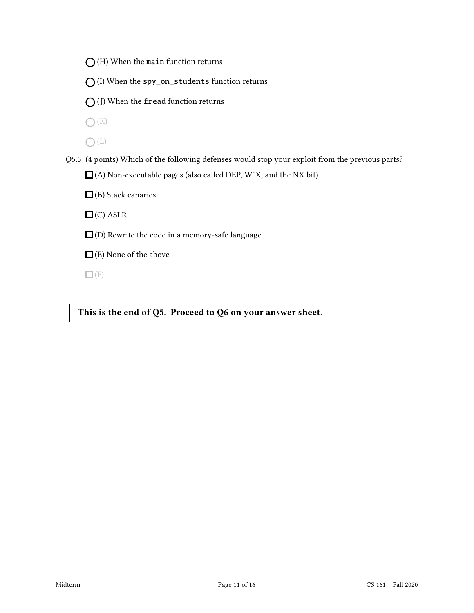$\bigcirc$  (H) When the main function returns

 $\bigcap$  (I) When the spy\_on\_students function returns

 $\bigcirc$  (J) When the fread function returns

 $\bigcirc$  (K) —

 $\bigcap(L)$  —

Q5.5 (4 points) Which of the following defenses would stop your exploit from the previous parts? (A) Non-executable pages (also called DEP, WˆX, and the NX bit)

 $\Box$  (B) Stack canaries

 $\Box$  (C) ASLR

 $\square$  (D) Rewrite the code in a memory-safe language

 $\Box$  (E) None of the above

 $\Box$  (F) —

This is the end of Q5. Proceed to Q6 on your answer sheet.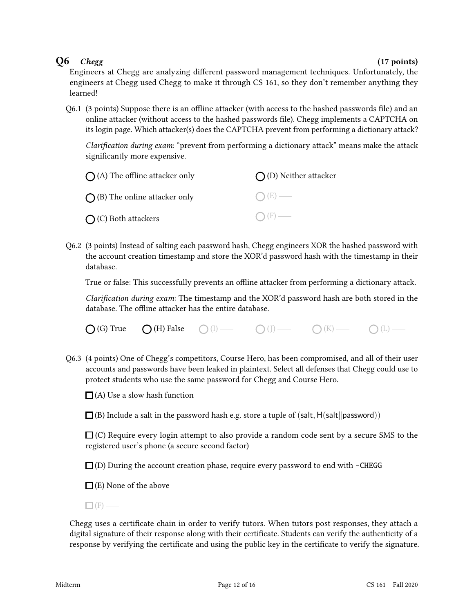### $Q6$  Chegg (17 points)

Engineers at Chegg are analyzing different password management techniques. Unfortunately, the engineers at Chegg used Chegg to make it through CS 161, so they don't remember anything they learned!

 $Q6.1$  (3 points) Suppose there is an offline attacker (with access to the hashed passwords file) and an online attacker (without access to the hashed passwords file). Chegg implements a CAPTCHA on its login page. Which attacker(s) does the CAPTCHA prevent from performing a dictionary attack?

Clarification during exam: "prevent from performing a dictionary attack" means make the attack significantly more expensive.

| $\bigcap$ (A) The offline attacker only | $\bigcap$ (D) Neither attacker |  |
|-----------------------------------------|--------------------------------|--|
| $\bigcap$ (B) The online attacker only  | $O(E)$ —                       |  |
| $\bigcirc$ (C) Both attackers           | $\bigcap$ (F) —                |  |

Q6.2 (3 points) Instead of salting each password hash, Chegg engineers XOR the hashed password with the account creation timestamp and store the XOR'd password hash with the timestamp in their database.

True or false: This successfully prevents an offline attacker from performing a dictionary attack.

Clarification during exam: The timestamp and the XOR'd password hash are both stored in the database. The offline attacker has the entire database.

| $\bigcirc$ (G) True | $\bigcirc$ (H) False | $O$ (I) — | $O(J)$ — | $O(K)$ — | $O(L)$ — |
|---------------------|----------------------|-----------|----------|----------|----------|
|---------------------|----------------------|-----------|----------|----------|----------|

Q6.3 (4 points) One of Chegg's competitors, Course Hero, has been compromised, and all of their user accounts and passwords have been leaked in plaintext. Select all defenses that Chegg could use to protect students who use the same password for Chegg and Course Hero.

 $\Box$  (A) Use a slow hash function

 $\Box$  (B) Include a salt in the password hash e.g. store a tuple of (salt, H(salt||password))

 $\Box$  (C) Require every login attempt to also provide a random code sent by a secure SMS to the registered user's phone (a secure second factor)

 $\Box$  (D) During the account creation phase, require every password to end with -CHEGG

 $\Box$  (E) None of the above

 $\Box$  (F) —

Chegg uses a certificate chain in order to verify tutors. When tutors post responses, they attach a digital signature of their response along with their certificate. Students can verify the authenticity of a response by verifying the certificate and using the public key in the certificate to verify the signature.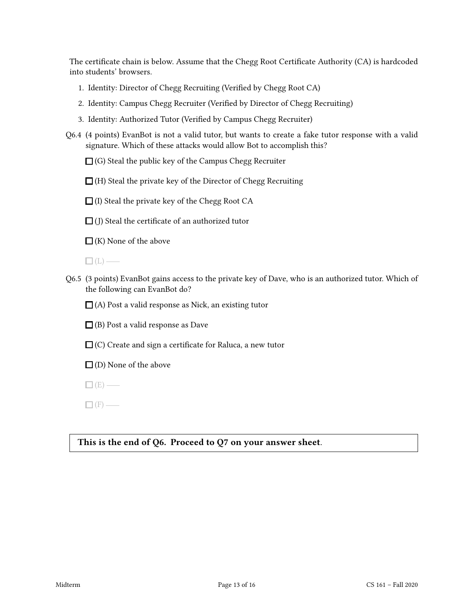The certificate chain is below. Assume that the Chegg Root Certificate Authority (CA) is hardcoded into students' browsers.

- 1. Identity: Director of Chegg Recruiting (Verified by Chegg Root CA)
- 2. Identity: Campus Chegg Recruiter (Verified by Director of Chegg Recruiting)
- 3. Identity: Authorized Tutor (Verified by Campus Chegg Recruiter)
- Q6.4 (4 points) EvanBot is not a valid tutor, but wants to create a fake tutor response with a valid signature. Which of these attacks would allow Bot to accomplish this?

 $\Box$  (G) Steal the public key of the Campus Chegg Recruiter

 $\Box$  (H) Steal the private key of the Director of Chegg Recruiting

 $\Box$  (I) Steal the private key of the Chegg Root CA

 $\Box$  (J) Steal the certificate of an authorized tutor

 $\Box$  (K) None of the above

 $\Box$ (L) —

Q6.5 (3 points) EvanBot gains access to the private key of Dave, who is an authorized tutor. Which of the following can EvanBot do?

 $\Box$  (A) Post a valid response as Nick, an existing tutor

 $\Box$  (B) Post a valid response as Dave

 $\Box$  (C) Create and sign a certificate for Raluca, a new tutor

 $\Box$  (D) None of the above

 $\Box$  (E) —

 $\Box$  (F) —

### This is the end of Q6. Proceed to Q7 on your answer sheet.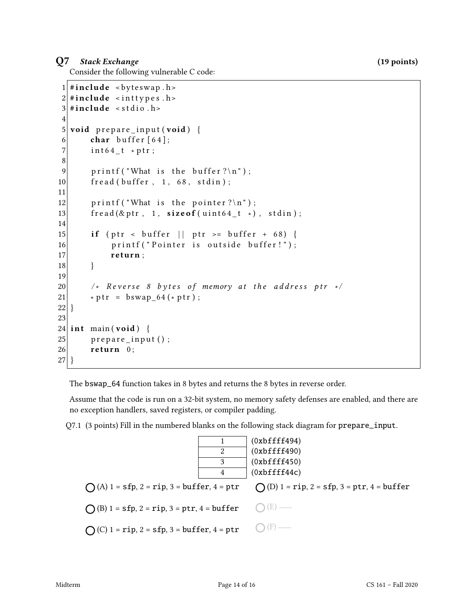### Q7 Stack Exchange (19 points)

Consider the following vulnerable C code:

```
1 \mid \#include <br/> <br/> <br/> <br/>
dellefturnations <br/>
dellefturnations <br/>
dellefturnations <br/>
dellefturnations <br/>
dellefturnations dellefturnations del surnations del surnations del surnations del surna
 2 \#include <inttypes.h>
 3 \#include < stdio .h>
 4
 5 void prepare input (void) {
 6 char buffer [64];
 7 int64_t *ptr;
 8
 9 printf ("What is the buffer ?\ln");
10 fread (buffer, 1, 68, stdin);
11
12 printf ("What is the pointer?\n");
13 \left| \begin{array}{cc} \text{fread}(\& \text{ptr} \ , \quad 1, \quad \text{sizeof} \ (\text{uint64\_t} \ * ) \ , \quad \text{stdin} ) \ ; \end{array} \right.14
15 if (ptr < buffer || ptr >= buffer + 68) {
16 printf ("Pointer is outside buffer!");
17 return;
18 }
19
20 \vert /* Reverse 8 bytes of memory at the address ptr */
21 * \text{ptr} = \text{bswap} 64 (* \text{ptr}) ;22 }
23
24 int main (void) {
25 prepare_input ();
26 return 0;
27 }
```
The bswap\_64 function takes in 8 bytes and returns the 8 bytes in reverse order.

Assume that the code is run on a 32-bit system, no memory safety defenses are enabled, and there are no exception handlers, saved registers, or compiler padding.

Q7.1 (3 points) Fill in the numbered blanks on the following stack diagram for prepare\_input.

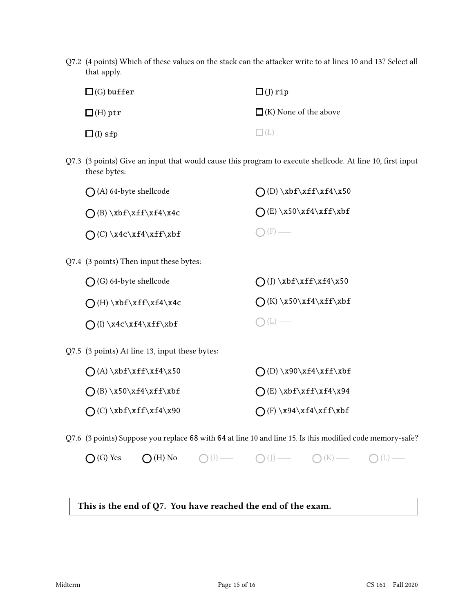Q7.2 (4 points) Which of these values on the stack can the attacker write to at lines 10 and 13? Select all that apply.

| $\square$ (G) buffer | $\square$ (J) rip            |
|----------------------|------------------------------|
| $\Box$ (H) ptr       | $\Box$ (K) None of the above |
| $\square$ (I) sfp    | $\Box$ (L) —                 |

Q7.3 (3 points) Give an input that would cause this program to execute shellcode. At line 10, first input these bytes:

| $\bigcap$ (A) 64-byte shellcode                | $O(D) \xbf{xff\xf4\x50}$       |
|------------------------------------------------|--------------------------------|
| $O(B) \xbf{x}ff\xf4\x4c$                       | $O(E) \x50\xf4\xff\xbf$        |
| $O(C) \x4c\xf4\xff\xbf$                        | $ F\rangle$ —                  |
| Q7.4 (3 points) Then input these bytes:        |                                |
| $\bigcap$ (G) 64-byte shellcode                | $\bigcap (J) \xbf{xff}\xfd\xi$ |
| $\bigcap(H)\xbf\xf\xf\xf4\x4c$                 | $\bigcap$ (K) \x50\xf4\xff\xbf |
| $\bigcap (I) \x4c\xf4\xff\xbf$                 | $\bigcup$ (L) —                |
| Q7.5 (3 points) At line 13, input these bytes: |                                |
| $\bigcap (A) \xbf\xff\xf4\x50$                 | $\bigcap$ (D) \x90\xf4\xff\xbf |

| $\bigcap$ (B) \x50\xf4\xff\xbf | $O(E) \xbf{f}\xff\xf4\x94$     |
|--------------------------------|--------------------------------|
| $O(C) \xbf{x}f\xf\xf4\x90$     | $\bigcap$ (F) \x94\xf4\xff\xbf |

Q7.6 (3 points) Suppose you replace 68 with 64 at line 10 and line 15. Is this modified code memory-safe?

 $\bigcap$  (G) Yes  $\bigcap$  (H) No  $\bigcap$  (I)  $\longrightarrow$   $\bigcap$  (J)  $\longrightarrow$   $\bigcap$  (K)  $\longrightarrow$   $\bigcap$  (L)  $\longrightarrow$ 

### This is the end of Q7. You have reached the end of the exam.